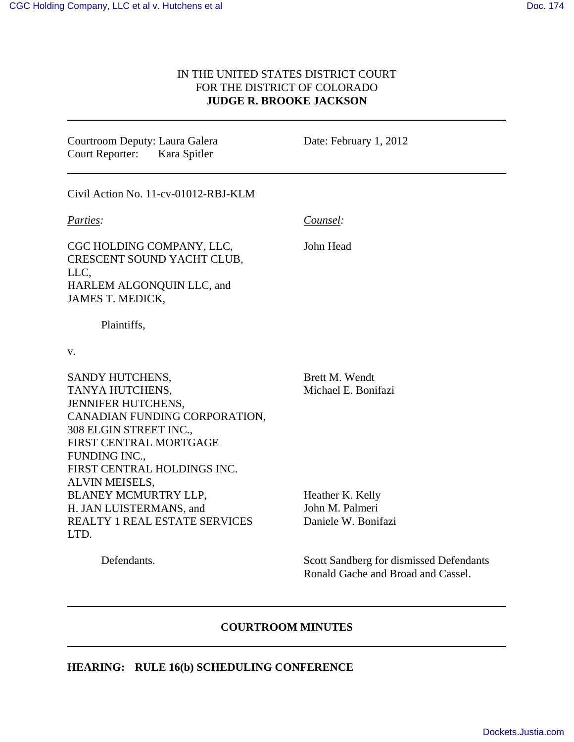## IN THE UNITED STATES DISTRICT COURT FOR THE DISTRICT OF COLORADO **JUDGE R. BROOKE JACKSON**

Courtroom Deputy: Laura Galera Court Reporter: Kara Spitler

Date: February 1, 2012

Civil Action No. 11-cv-01012-RBJ-KLM

*Parties:*

*Counsel:*

John Head

CGC HOLDING COMPANY, LLC, CRESCENT SOUND YACHT CLUB, LLC, HARLEM ALGONQUIN LLC, and JAMES T. MEDICK,

Plaintiffs,

Defendants.

v.

SANDY HUTCHENS, TANYA HUTCHENS, JENNIFER HUTCHENS, CANADIAN FUNDING CORPORATION, 308 ELGIN STREET INC., FIRST CENTRAL MORTGAGE FUNDING INC., FIRST CENTRAL HOLDINGS INC. ALVIN MEISELS, BLANEY MCMURTRY LLP, H. JAN LUISTERMANS, and REALTY 1 REAL ESTATE SERVICES LTD.

Brett M. Wendt Michael E. Bonifazi

Heather K. Kelly John M. Palmeri Daniele W. Bonifazi

Scott Sandberg for dismissed Defendants Ronald Gache and Broad and Cassel.

## **COURTROOM MINUTES**

### **HEARING: RULE 16(b) SCHEDULING CONFERENCE**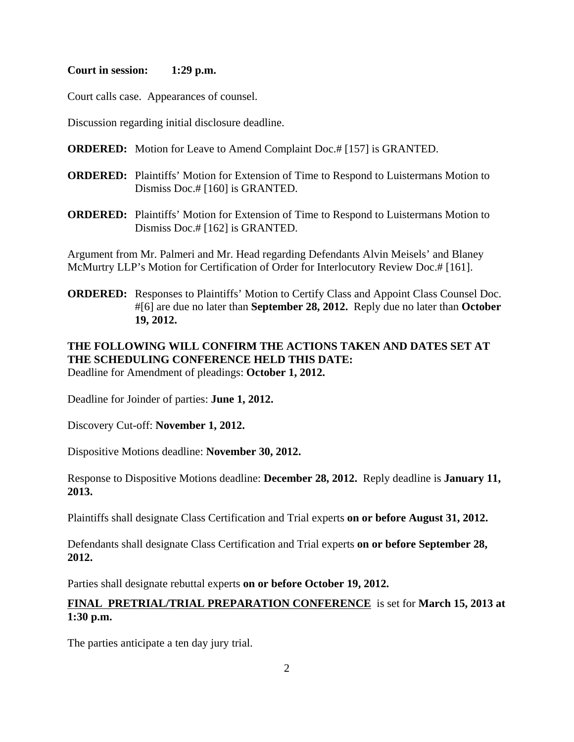#### **Court in session: 1:29 p.m.**

Court calls case. Appearances of counsel.

Discussion regarding initial disclosure deadline.

- **ORDERED:** Motion for Leave to Amend Complaint Doc.# [157] is GRANTED.
- **ORDERED:** Plaintiffs' Motion for Extension of Time to Respond to Luistermans Motion to Dismiss Doc.# [160] is GRANTED.
- **ORDERED:** Plaintiffs' Motion for Extension of Time to Respond to Luistermans Motion to Dismiss Doc.# [162] is GRANTED.

Argument from Mr. Palmeri and Mr. Head regarding Defendants Alvin Meisels' and Blaney McMurtry LLP's Motion for Certification of Order for Interlocutory Review Doc.# [161].

**ORDERED:** Responses to Plaintiffs' Motion to Certify Class and Appoint Class Counsel Doc. #[6] are due no later than **September 28, 2012.** Reply due no later than **October 19, 2012.**

# **THE FOLLOWING WILL CONFIRM THE ACTIONS TAKEN AND DATES SET AT THE SCHEDULING CONFERENCE HELD THIS DATE:**

Deadline for Amendment of pleadings: **October 1, 2012.**

Deadline for Joinder of parties: **June 1, 2012.** 

Discovery Cut-off: **November 1, 2012.**

Dispositive Motions deadline: **November 30, 2012.** 

Response to Dispositive Motions deadline: **December 28, 2012.** Reply deadline is **January 11, 2013.** 

Plaintiffs shall designate Class Certification and Trial experts **on or before August 31, 2012.** 

Defendants shall designate Class Certification and Trial experts **on or before September 28, 2012.**

Parties shall designate rebuttal experts **on or before October 19, 2012.** 

## **FINAL PRETRIAL/TRIAL PREPARATION CONFERENCE** is set for **March 15, 2013 at 1:30 p.m.**

The parties anticipate a ten day jury trial.